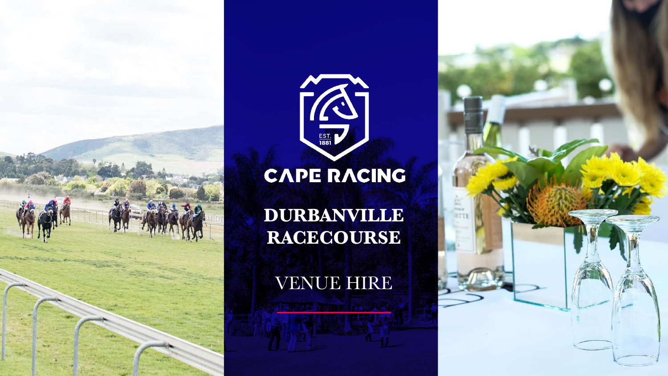



# CAPE RACING

**DURBANVILLE RACECOURSE**

VENUE HIRE

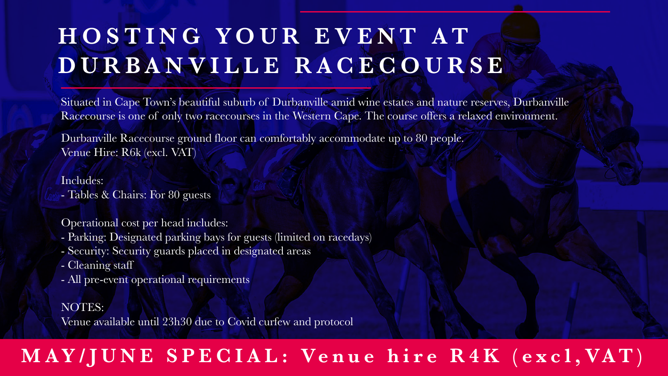# **HOSTING YOUR EVENT AT DURBANVILLE RACECOURSE**

Situated in Cape Town's beautiful suburb of Durbanville amid wine estates and nature reserves, Durbanville Racecourse is one of only two racecourses in the Western Cape. The course offers a relaxed environment.

Durbanville Racecourse ground floor can comfortably accommodate up to 80 people. Venue Hire: R6k (excl. VAT)

#### Includes:

- Tables & Chairs: For 80 guests

#### Operational cost per head includes:

- Parking: Designated parking bays for guests (limited on racedays)
- Security: Security guards placed in designated areas
- Cleaning staff
- All pre-event operational requirements

### NOTES:

Venue available until 23h30 due to Covid curfew and protocol

### MAY/JUNE SPECIAL: Venue hire R4K (excl, VAT)